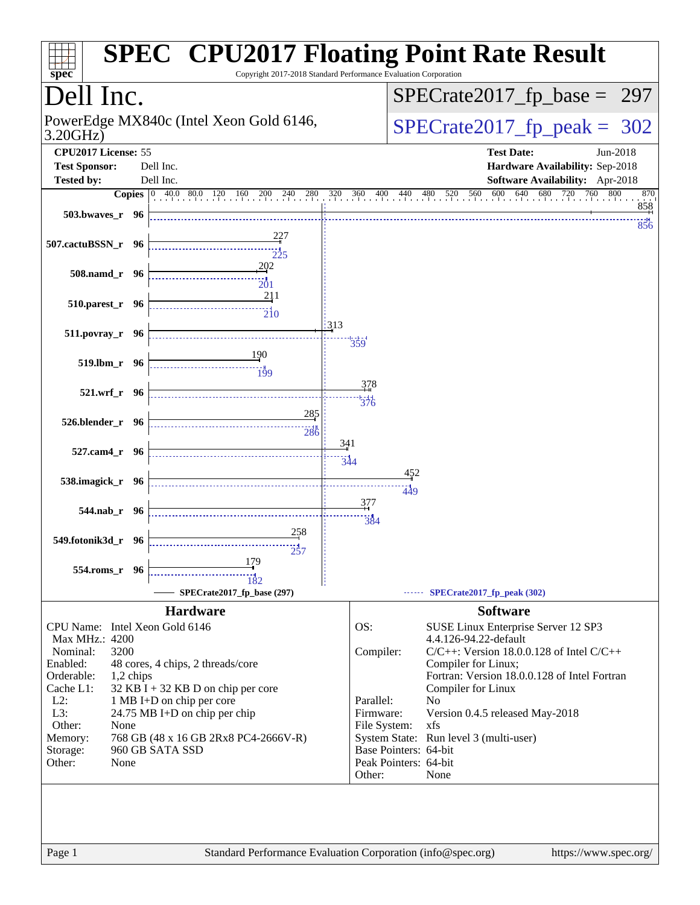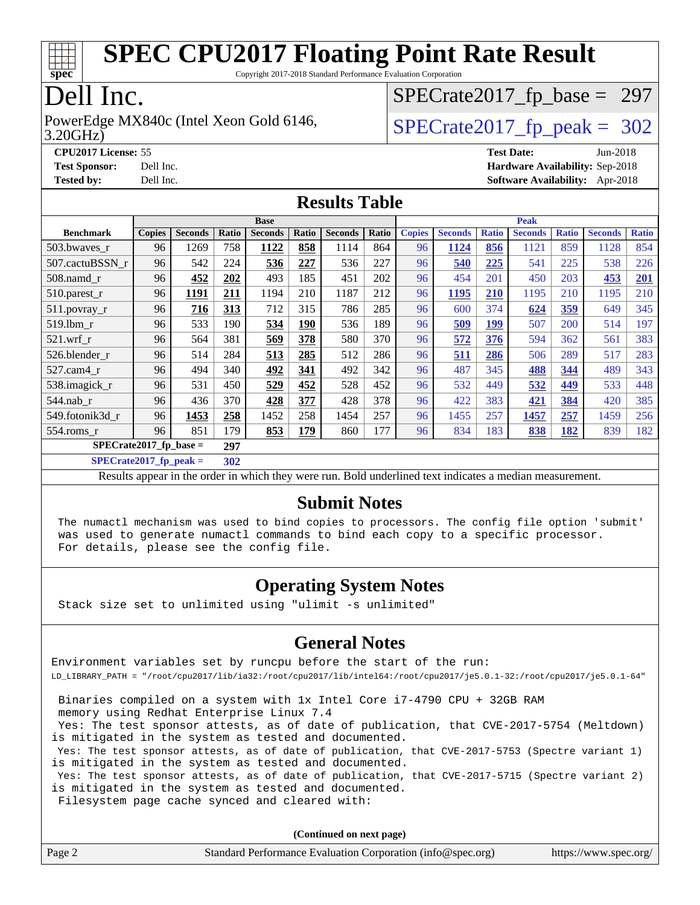

Copyright 2017-2018 Standard Performance Evaluation Corporation

## Dell Inc.

3.20GHz) PowerEdge MX840c (Intel Xeon Gold 6146,  $\vert$ [SPECrate2017\\_fp\\_peak =](http://www.spec.org/auto/cpu2017/Docs/result-fields.html#SPECrate2017fppeak) 302

[SPECrate2017\\_fp\\_base =](http://www.spec.org/auto/cpu2017/Docs/result-fields.html#SPECrate2017fpbase) 297

**[CPU2017 License:](http://www.spec.org/auto/cpu2017/Docs/result-fields.html#CPU2017License)** 55 **[Test Date:](http://www.spec.org/auto/cpu2017/Docs/result-fields.html#TestDate)** Jun-2018

**[Test Sponsor:](http://www.spec.org/auto/cpu2017/Docs/result-fields.html#TestSponsor)** Dell Inc. **[Hardware Availability:](http://www.spec.org/auto/cpu2017/Docs/result-fields.html#HardwareAvailability)** Sep-2018 **[Tested by:](http://www.spec.org/auto/cpu2017/Docs/result-fields.html#Testedby)** Dell Inc. **[Software Availability:](http://www.spec.org/auto/cpu2017/Docs/result-fields.html#SoftwareAvailability)** Apr-2018

#### **[Results Table](http://www.spec.org/auto/cpu2017/Docs/result-fields.html#ResultsTable)**

|                  | <b>Base</b>                      |                |       |                | <b>Peak</b> |                |       |               |                |              |                |              |                |              |
|------------------|----------------------------------|----------------|-------|----------------|-------------|----------------|-------|---------------|----------------|--------------|----------------|--------------|----------------|--------------|
| <b>Benchmark</b> | <b>Copies</b>                    | <b>Seconds</b> | Ratio | <b>Seconds</b> | Ratio       | <b>Seconds</b> | Ratio | <b>Copies</b> | <b>Seconds</b> | <b>Ratio</b> | <b>Seconds</b> | <b>Ratio</b> | <b>Seconds</b> | <b>Ratio</b> |
| 503.bwayes r     | 96                               | 1269           | 758   | 1122           | 858         | 1114           | 864   | 96            | 1124           | 856          | 1121           | 859          | 1128           | 854          |
| 507.cactuBSSN r  | 96                               | 542            | 224   | 536            | 227         | 536            | 227   | 96            | 540            | 225          | 541            | 225          | 538            | 226          |
| $508$ .namd $r$  | 96                               | 452            | 202   | 493            | 185         | 451            | 202   | 96            | 454            | 201          | 450            | 203          | 453            | 201          |
| 510.parest_r     | 96                               | 1191           | 211   | 1194           | 210         | 1187           | 212   | 96            | 1195           | 210          | 1195           | 210          | 1195           | 210          |
| $511.$ povray_r  | 96                               | 716            | 313   | 712            | 315         | 786            | 285   | 96            | 600            | 374          | 624            | 359          | 649            | 345          |
| 519.1bm r        | 96                               | 533            | 190   | 534            | <b>190</b>  | 536            | 189   | 96            | 509            | 199          | 507            | 200          | 514            | 197          |
| $521$ .wrf r     | 96                               | 564            | 381   | 569            | 378         | 580            | 370   | 96            | 572            | 376          | 594            | 362          | 561            | 383          |
| 526.blender r    | 96                               | 514            | 284   | 513            | 285         | 512            | 286   | 96            | 511            | 286          | 506            | 289          | 517            | 283          |
| $527.cam4_r$     | 96                               | 494            | 340   | 492            | 341         | 492            | 342   | 96            | 487            | 345          | 488            | 344          | 489            | 343          |
| 538.imagick_r    | 96                               | 531            | 450   | 529            | 452         | 528            | 452   | 96            | 532            | 449          | 532            | 449          | 533            | 448          |
| $544$ .nab r     | 96                               | 436            | 370   | 428            | 377         | 428            | 378   | 96            | 422            | 383          | 421            | 384          | 420            | 385          |
| 549.fotonik3d_r  | 96                               | 1453           | 258   | 1452           | 258         | 1454           | 257   | 96            | 1455           | 257          | 1457           | 257          | 1459           | 256          |
| $554$ .roms r    | 96                               | 851            | 179   | 853            | 179         | 860            | 177   | 96            | 834            | 183          | 838            | 182          | 839            | 182          |
|                  | $SPECrate2017_fp\_base =$<br>297 |                |       |                |             |                |       |               |                |              |                |              |                |              |

**[SPECrate2017\\_fp\\_peak =](http://www.spec.org/auto/cpu2017/Docs/result-fields.html#SPECrate2017fppeak) 302**

Results appear in the [order in which they were run](http://www.spec.org/auto/cpu2017/Docs/result-fields.html#RunOrder). Bold underlined text [indicates a median measurement](http://www.spec.org/auto/cpu2017/Docs/result-fields.html#Median).

#### **[Submit Notes](http://www.spec.org/auto/cpu2017/Docs/result-fields.html#SubmitNotes)**

 The numactl mechanism was used to bind copies to processors. The config file option 'submit' was used to generate numactl commands to bind each copy to a specific processor. For details, please see the config file.

#### **[Operating System Notes](http://www.spec.org/auto/cpu2017/Docs/result-fields.html#OperatingSystemNotes)**

Stack size set to unlimited using "ulimit -s unlimited"

#### **[General Notes](http://www.spec.org/auto/cpu2017/Docs/result-fields.html#GeneralNotes)**

Environment variables set by runcpu before the start of the run: LD\_LIBRARY\_PATH = "/root/cpu2017/lib/ia32:/root/cpu2017/lib/intel64:/root/cpu2017/je5.0.1-32:/root/cpu2017/je5.0.1-64"

 Binaries compiled on a system with 1x Intel Core i7-4790 CPU + 32GB RAM memory using Redhat Enterprise Linux 7.4

 Yes: The test sponsor attests, as of date of publication, that CVE-2017-5754 (Meltdown) is mitigated in the system as tested and documented.

 Yes: The test sponsor attests, as of date of publication, that CVE-2017-5753 (Spectre variant 1) is mitigated in the system as tested and documented.

 Yes: The test sponsor attests, as of date of publication, that CVE-2017-5715 (Spectre variant 2) is mitigated in the system as tested and documented.

Filesystem page cache synced and cleared with:

**(Continued on next page)**

| Page 2 | Standard Performance Evaluation Corporation (info@spec.org) | https://www.spec.org/ |
|--------|-------------------------------------------------------------|-----------------------|
|        |                                                             |                       |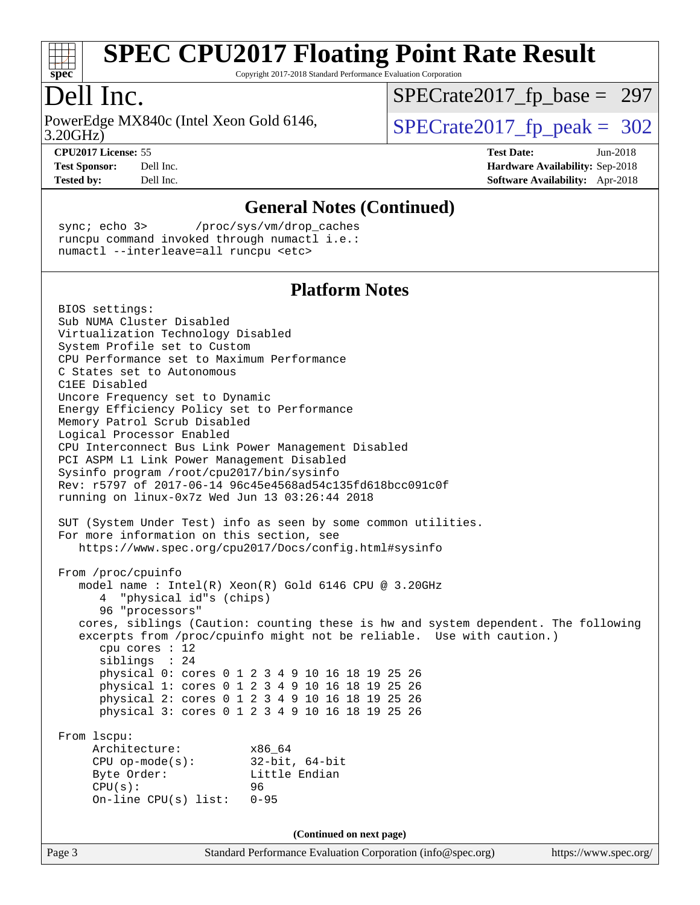

Copyright 2017-2018 Standard Performance Evaluation Corporation

### Dell Inc.

3.20GHz) PowerEdge MX840c (Intel Xeon Gold 6146,  $\vert$ [SPECrate2017\\_fp\\_peak =](http://www.spec.org/auto/cpu2017/Docs/result-fields.html#SPECrate2017fppeak) 302

[SPECrate2017\\_fp\\_base =](http://www.spec.org/auto/cpu2017/Docs/result-fields.html#SPECrate2017fpbase) 297

**[CPU2017 License:](http://www.spec.org/auto/cpu2017/Docs/result-fields.html#CPU2017License)** 55 **[Test Date:](http://www.spec.org/auto/cpu2017/Docs/result-fields.html#TestDate)** Jun-2018 **[Test Sponsor:](http://www.spec.org/auto/cpu2017/Docs/result-fields.html#TestSponsor)** Dell Inc. **[Hardware Availability:](http://www.spec.org/auto/cpu2017/Docs/result-fields.html#HardwareAvailability)** Sep-2018 **[Tested by:](http://www.spec.org/auto/cpu2017/Docs/result-fields.html#Testedby)** Dell Inc. **[Software Availability:](http://www.spec.org/auto/cpu2017/Docs/result-fields.html#SoftwareAvailability)** Apr-2018

**[General Notes \(Continued\)](http://www.spec.org/auto/cpu2017/Docs/result-fields.html#GeneralNotes)** sync; echo 3> /proc/sys/vm/drop\_caches runcpu command invoked through numactl i.e.: numactl --interleave=all runcpu <etc> **[Platform Notes](http://www.spec.org/auto/cpu2017/Docs/result-fields.html#PlatformNotes)** BIOS settings: Sub NUMA Cluster Disabled Virtualization Technology Disabled System Profile set to Custom CPU Performance set to Maximum Performance C States set to Autonomous C1EE Disabled Uncore Frequency set to Dynamic Energy Efficiency Policy set to Performance Memory Patrol Scrub Disabled Logical Processor Enabled CPU Interconnect Bus Link Power Management Disabled PCI ASPM L1 Link Power Management Disabled Sysinfo program /root/cpu2017/bin/sysinfo Rev: r5797 of 2017-06-14 96c45e4568ad54c135fd618bcc091c0f running on linux-0x7z Wed Jun 13 03:26:44 2018 SUT (System Under Test) info as seen by some common utilities. For more information on this section, see <https://www.spec.org/cpu2017/Docs/config.html#sysinfo> From /proc/cpuinfo model name : Intel(R) Xeon(R) Gold 6146 CPU @ 3.20GHz 4 "physical id"s (chips) 96 "processors" cores, siblings (Caution: counting these is hw and system dependent. The following excerpts from /proc/cpuinfo might not be reliable. Use with caution.) cpu cores : 12 siblings : 24 physical 0: cores 0 1 2 3 4 9 10 16 18 19 25 26 physical 1: cores 0 1 2 3 4 9 10 16 18 19 25 26 physical 2: cores 0 1 2 3 4 9 10 16 18 19 25 26 physical 3: cores 0 1 2 3 4 9 10 16 18 19 25 26 From lscpu: Architecture: x86\_64 CPU op-mode(s): 32-bit, 64-bit Byte Order: Little Endian CPU(s): 96 On-line CPU(s) list: 0-95 **(Continued on next page)**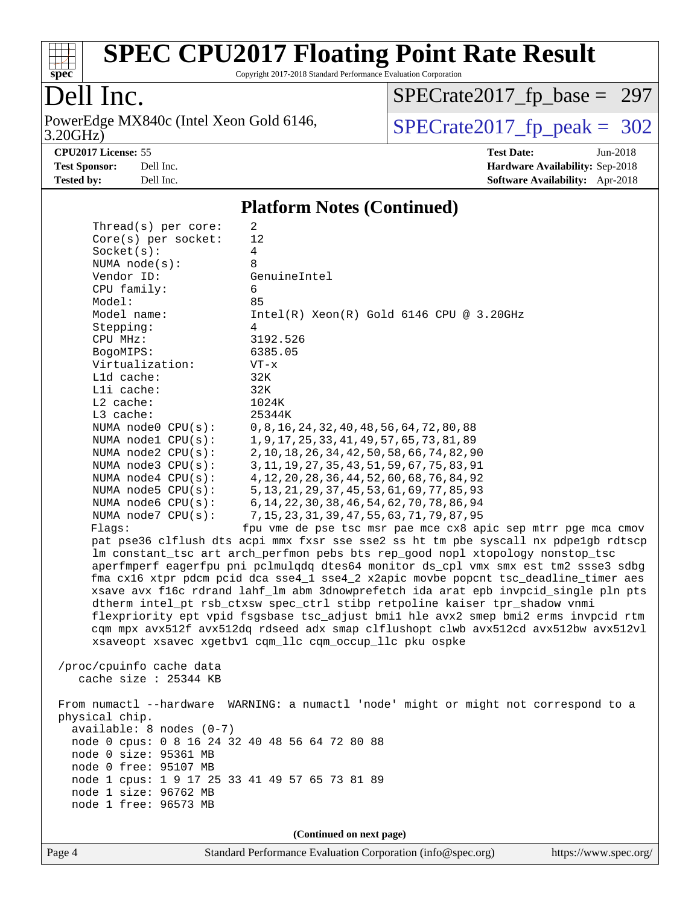

Copyright 2017-2018 Standard Performance Evaluation Corporation

### Dell Inc.

3.20GHz) PowerEdge MX840c (Intel Xeon Gold 6146,  $SPECrate2017_fp\_peak = 302$ 

[SPECrate2017\\_fp\\_base =](http://www.spec.org/auto/cpu2017/Docs/result-fields.html#SPECrate2017fpbase) 297

**[Tested by:](http://www.spec.org/auto/cpu2017/Docs/result-fields.html#Testedby)** Dell Inc. **[Software Availability:](http://www.spec.org/auto/cpu2017/Docs/result-fields.html#SoftwareAvailability)** Apr-2018

**[CPU2017 License:](http://www.spec.org/auto/cpu2017/Docs/result-fields.html#CPU2017License)** 55 **[Test Date:](http://www.spec.org/auto/cpu2017/Docs/result-fields.html#TestDate)** Jun-2018 **[Test Sponsor:](http://www.spec.org/auto/cpu2017/Docs/result-fields.html#TestSponsor)** Dell Inc. **[Hardware Availability:](http://www.spec.org/auto/cpu2017/Docs/result-fields.html#HardwareAvailability)** Sep-2018

#### **[Platform Notes \(Continued\)](http://www.spec.org/auto/cpu2017/Docs/result-fields.html#PlatformNotes)**

| Thread(s) per core:                            | 2                                                                                    |
|------------------------------------------------|--------------------------------------------------------------------------------------|
| Core(s) per socket:                            | 12                                                                                   |
| Socket(s):                                     | 4                                                                                    |
| NUMA $node(s):$                                | 8                                                                                    |
| Vendor ID:                                     | GenuineIntel                                                                         |
| CPU family:                                    | 6                                                                                    |
| Model:                                         | 85                                                                                   |
| Model name:                                    | $Intel(R)$ Xeon $(R)$ Gold 6146 CPU @ 3.20GHz                                        |
| Stepping:                                      | 4                                                                                    |
| CPU MHz:                                       | 3192.526                                                                             |
| BogoMIPS:                                      | 6385.05                                                                              |
| Virtualization:                                | $VT - x$                                                                             |
| L1d cache:<br>Lli cache:                       | 32K<br>32K                                                                           |
| $L2$ cache:                                    | 1024K                                                                                |
| L3 cache:                                      | 25344K                                                                               |
| NUMA node0 CPU(s):                             | 0, 8, 16, 24, 32, 40, 48, 56, 64, 72, 80, 88                                         |
| NUMA $node1$ $CPU(s):$                         | 1, 9, 17, 25, 33, 41, 49, 57, 65, 73, 81, 89                                         |
| NUMA $node2$ $CPU(s)$ :                        | 2, 10, 18, 26, 34, 42, 50, 58, 66, 74, 82, 90                                        |
| NUMA node3 CPU(s):                             | 3, 11, 19, 27, 35, 43, 51, 59, 67, 75, 83, 91                                        |
| NUMA node4 CPU(s):                             | 4, 12, 20, 28, 36, 44, 52, 60, 68, 76, 84, 92                                        |
| NUMA $node5$ $CPU(s):$                         | 5, 13, 21, 29, 37, 45, 53, 61, 69, 77, 85, 93                                        |
| NUMA node6 $CPU(s):$                           | 6, 14, 22, 30, 38, 46, 54, 62, 70, 78, 86, 94                                        |
| NUMA node7 CPU(s):                             | 7, 15, 23, 31, 39, 47, 55, 63, 71, 79, 87, 95                                        |
| Flags:                                         | fpu vme de pse tsc msr pae mce cx8 apic sep mtrr pge mca cmov                        |
|                                                | pat pse36 clflush dts acpi mmx fxsr sse sse2 ss ht tm pbe syscall nx pdpelgb rdtscp  |
|                                                | lm constant_tsc art arch_perfmon pebs bts rep_good nopl xtopology nonstop_tsc        |
|                                                | aperfmperf eagerfpu pni pclmulqdq dtes64 monitor ds_cpl vmx smx est tm2 ssse3 sdbg   |
|                                                | fma cx16 xtpr pdcm pcid dca sse4_1 sse4_2 x2apic movbe popcnt tsc_deadline_timer aes |
|                                                | xsave avx f16c rdrand lahf_lm abm 3dnowprefetch ida arat epb invpcid_single pln pts  |
|                                                | dtherm intel_pt rsb_ctxsw spec_ctrl stibp retpoline kaiser tpr_shadow vnmi           |
|                                                | flexpriority ept vpid fsgsbase tsc_adjust bmil hle avx2 smep bmi2 erms invpcid rtm   |
|                                                | cqm mpx avx512f avx512dq rdseed adx smap clflushopt clwb avx512cd avx512bw avx512vl  |
|                                                | xsaveopt xsavec xgetbvl cqm_llc cqm_occup_llc pku ospke                              |
|                                                |                                                                                      |
| /proc/cpuinfo cache data                       |                                                                                      |
| cache size : 25344 KB                          |                                                                                      |
|                                                |                                                                                      |
|                                                | From numactl --hardware WARNING: a numactl 'node' might or might not correspond to a |
| physical chip.                                 |                                                                                      |
| $available: 8 nodes (0-7)$                     |                                                                                      |
| node 0 cpus: 0 8 16 24 32 40 48 56 64 72 80 88 |                                                                                      |
| node 0 size: 95361 MB<br>node 0 free: 95107 MB |                                                                                      |
| node 1 cpus: 1 9 17 25 33 41 49 57 65 73 81 89 |                                                                                      |
| node 1 size: 96762 MB                          |                                                                                      |
| node 1 free: 96573 MB                          |                                                                                      |
|                                                |                                                                                      |
|                                                | (Continued on next page)                                                             |
|                                                |                                                                                      |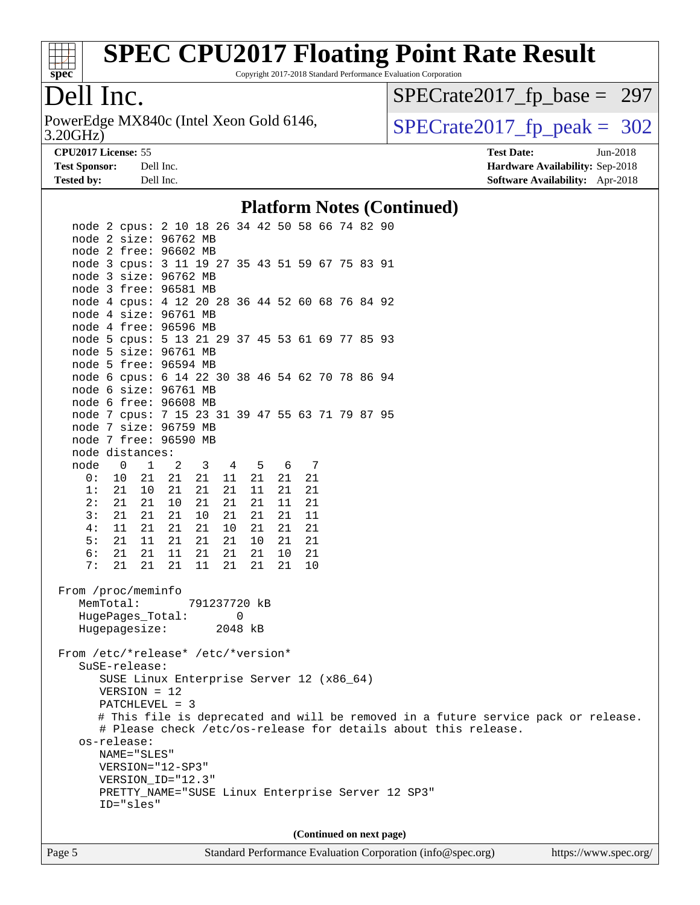

Copyright 2017-2018 Standard Performance Evaluation Corporation

### Dell Inc.

3.20GHz) PowerEdge MX840c (Intel Xeon Gold 6146,  $SPECrate2017_fp\_peak = 302$ 

[SPECrate2017\\_fp\\_base =](http://www.spec.org/auto/cpu2017/Docs/result-fields.html#SPECrate2017fpbase) 297

**[Test Sponsor:](http://www.spec.org/auto/cpu2017/Docs/result-fields.html#TestSponsor)** Dell Inc. **[Hardware Availability:](http://www.spec.org/auto/cpu2017/Docs/result-fields.html#HardwareAvailability)** Sep-2018 **[Tested by:](http://www.spec.org/auto/cpu2017/Docs/result-fields.html#Testedby)** Dell Inc. **[Software Availability:](http://www.spec.org/auto/cpu2017/Docs/result-fields.html#SoftwareAvailability)** Apr-2018

**[CPU2017 License:](http://www.spec.org/auto/cpu2017/Docs/result-fields.html#CPU2017License)** 55 **[Test Date:](http://www.spec.org/auto/cpu2017/Docs/result-fields.html#TestDate)** Jun-2018

**[Platform Notes \(Continued\)](http://www.spec.org/auto/cpu2017/Docs/result-fields.html#PlatformNotes)**

| I lation in Forcs (Continueu)                                                                      |  |  |  |  |  |  |  |
|----------------------------------------------------------------------------------------------------|--|--|--|--|--|--|--|
| node 2 cpus: 2 10 18 26 34 42 50 58 66 74 82 90                                                    |  |  |  |  |  |  |  |
| node 2 size: 96762 MB                                                                              |  |  |  |  |  |  |  |
| node 2 free: 96602 MB                                                                              |  |  |  |  |  |  |  |
| node 3 cpus: 3 11 19 27 35 43 51 59 67 75 83 91                                                    |  |  |  |  |  |  |  |
| node 3 size: 96762 MB                                                                              |  |  |  |  |  |  |  |
| node 3 free: 96581 MB                                                                              |  |  |  |  |  |  |  |
| node 4 cpus: 4 12 20 28 36 44 52 60 68 76 84 92                                                    |  |  |  |  |  |  |  |
| node 4 size: 96761 MB                                                                              |  |  |  |  |  |  |  |
| node 4 free: 96596 MB                                                                              |  |  |  |  |  |  |  |
| node 5 cpus: 5 13 21 29 37 45 53 61 69 77 85 93                                                    |  |  |  |  |  |  |  |
| node 5 size: 96761 MB                                                                              |  |  |  |  |  |  |  |
| node 5 free: 96594 MB                                                                              |  |  |  |  |  |  |  |
| node 6 cpus: 6 14 22 30 38 46 54 62 70 78 86 94                                                    |  |  |  |  |  |  |  |
| node 6 size: 96761 MB                                                                              |  |  |  |  |  |  |  |
| node 6 free: 96608 MB                                                                              |  |  |  |  |  |  |  |
| node 7 cpus: 7 15 23 31 39 47 55 63 71 79 87 95                                                    |  |  |  |  |  |  |  |
| node 7 size: 96759 MB                                                                              |  |  |  |  |  |  |  |
| node 7 free: 96590 MB                                                                              |  |  |  |  |  |  |  |
| node distances:                                                                                    |  |  |  |  |  |  |  |
| node<br>$\overline{0}$<br>1<br>$\overline{\mathbf{3}}$<br>4 5<br>6 7<br>2                          |  |  |  |  |  |  |  |
| 0:<br>10 21<br>21<br>21<br>21<br>11<br>21<br>21<br>1:<br>21 10<br>21<br>21<br>11<br>21<br>21<br>21 |  |  |  |  |  |  |  |
| 2:<br>21 21<br>10<br>21<br>21<br>21<br>11<br>21                                                    |  |  |  |  |  |  |  |
| 3:<br>21<br>21 21<br>10<br>21<br>21<br>21<br>11                                                    |  |  |  |  |  |  |  |
| 4:<br>21<br>11 21<br>21<br>10<br>21<br>21<br>21                                                    |  |  |  |  |  |  |  |
| 5:<br>21 11<br>21<br>21<br>21<br>10<br>21<br>21                                                    |  |  |  |  |  |  |  |
| 6:<br>21 21<br>21<br>21<br>21<br>10<br>21<br>11                                                    |  |  |  |  |  |  |  |
| 21<br>11<br>7:<br>21<br>21<br>21<br>21<br>21<br>10                                                 |  |  |  |  |  |  |  |
|                                                                                                    |  |  |  |  |  |  |  |
| From /proc/meminfo                                                                                 |  |  |  |  |  |  |  |
| MemTotal:<br>791237720 kB                                                                          |  |  |  |  |  |  |  |
| HugePages_Total:<br>0                                                                              |  |  |  |  |  |  |  |
| Hugepagesize:<br>2048 kB                                                                           |  |  |  |  |  |  |  |
|                                                                                                    |  |  |  |  |  |  |  |
| From /etc/*release* /etc/*version*                                                                 |  |  |  |  |  |  |  |
| SuSE-release:                                                                                      |  |  |  |  |  |  |  |
| SUSE Linux Enterprise Server 12 (x86_64)                                                           |  |  |  |  |  |  |  |
| $VERSION = 12$                                                                                     |  |  |  |  |  |  |  |
| PATCHLEVEL = 3                                                                                     |  |  |  |  |  |  |  |
| # This file is deprecated and will be removed in a future service pack or release.                 |  |  |  |  |  |  |  |
| # Please check /etc/os-release for details about this release.                                     |  |  |  |  |  |  |  |
| os-release:                                                                                        |  |  |  |  |  |  |  |
| NAME="SLES"                                                                                        |  |  |  |  |  |  |  |
| VERSION="12-SP3"                                                                                   |  |  |  |  |  |  |  |
| VERSION_ID="12.3"<br>PRETTY_NAME="SUSE Linux Enterprise Server 12 SP3"                             |  |  |  |  |  |  |  |
| ID="sles"                                                                                          |  |  |  |  |  |  |  |
|                                                                                                    |  |  |  |  |  |  |  |
|                                                                                                    |  |  |  |  |  |  |  |
| (Continued on next page)                                                                           |  |  |  |  |  |  |  |
|                                                                                                    |  |  |  |  |  |  |  |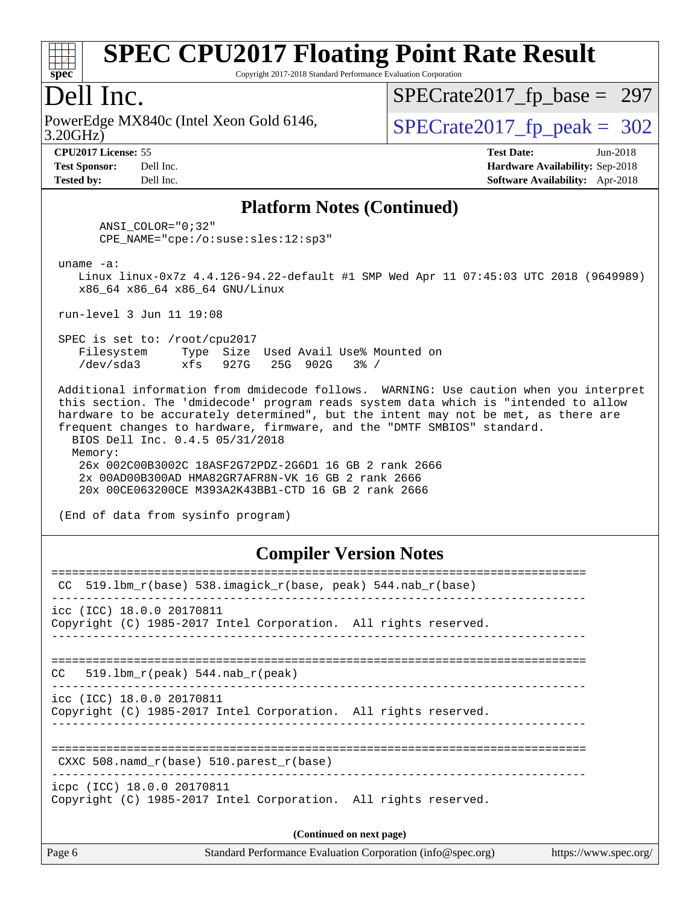

Copyright 2017-2018 Standard Performance Evaluation Corporation

### Dell Inc.

3.20GHz) PowerEdge MX840c (Intel Xeon Gold 6146,  $\vert$ [SPECrate2017\\_fp\\_peak =](http://www.spec.org/auto/cpu2017/Docs/result-fields.html#SPECrate2017fppeak) 302

[SPECrate2017\\_fp\\_base =](http://www.spec.org/auto/cpu2017/Docs/result-fields.html#SPECrate2017fpbase) 297

**[CPU2017 License:](http://www.spec.org/auto/cpu2017/Docs/result-fields.html#CPU2017License)** 55 **[Test Date:](http://www.spec.org/auto/cpu2017/Docs/result-fields.html#TestDate)** Jun-2018 **[Test Sponsor:](http://www.spec.org/auto/cpu2017/Docs/result-fields.html#TestSponsor)** Dell Inc. **[Hardware Availability:](http://www.spec.org/auto/cpu2017/Docs/result-fields.html#HardwareAvailability)** Sep-2018 **[Tested by:](http://www.spec.org/auto/cpu2017/Docs/result-fields.html#Testedby)** Dell Inc. **[Software Availability:](http://www.spec.org/auto/cpu2017/Docs/result-fields.html#SoftwareAvailability)** Apr-2018

#### **[Platform Notes \(Continued\)](http://www.spec.org/auto/cpu2017/Docs/result-fields.html#PlatformNotes)**

 ANSI\_COLOR="0;32" CPE\_NAME="cpe:/o:suse:sles:12:sp3"

uname -a:

 Linux linux-0x7z 4.4.126-94.22-default #1 SMP Wed Apr 11 07:45:03 UTC 2018 (9649989) x86\_64 x86\_64 x86\_64 GNU/Linux

run-level 3 Jun 11 19:08

 SPEC is set to: /root/cpu2017 Filesystem Type Size Used Avail Use% Mounted on /dev/sda3 xfs 927G 25G 902G 3% /

 Additional information from dmidecode follows. WARNING: Use caution when you interpret this section. The 'dmidecode' program reads system data which is "intended to allow hardware to be accurately determined", but the intent may not be met, as there are frequent changes to hardware, firmware, and the "DMTF SMBIOS" standard. BIOS Dell Inc. 0.4.5 05/31/2018

 Memory: 26x 002C00B3002C 18ASF2G72PDZ-2G6D1 16 GB 2 rank 2666 2x 00AD00B300AD HMA82GR7AFR8N-VK 16 GB 2 rank 2666 20x 00CE063200CE M393A2K43BB1-CTD 16 GB 2 rank 2666

(End of data from sysinfo program)

#### **[Compiler Version Notes](http://www.spec.org/auto/cpu2017/Docs/result-fields.html#CompilerVersionNotes)**

| CC 519.1bm_r(base) 538.imagick_r(base, peak) 544.nab_r(base)                                  |
|-----------------------------------------------------------------------------------------------|
| icc (ICC) 18.0.0 20170811<br>Copyright (C) 1985-2017 Intel Corporation. All rights reserved.  |
| $CC = 519.1bm_r(peak) 544.nab_r(peak)$                                                        |
| icc (ICC) 18.0.0 20170811<br>Copyright (C) 1985-2017 Intel Corporation. All rights reserved.  |
| CXXC 508.namd $r(base)$ 510.parest $r(base)$                                                  |
| icpc (ICC) 18.0.0 20170811<br>Copyright (C) 1985-2017 Intel Corporation. All rights reserved. |
| (Continued on next page)                                                                      |
|                                                                                               |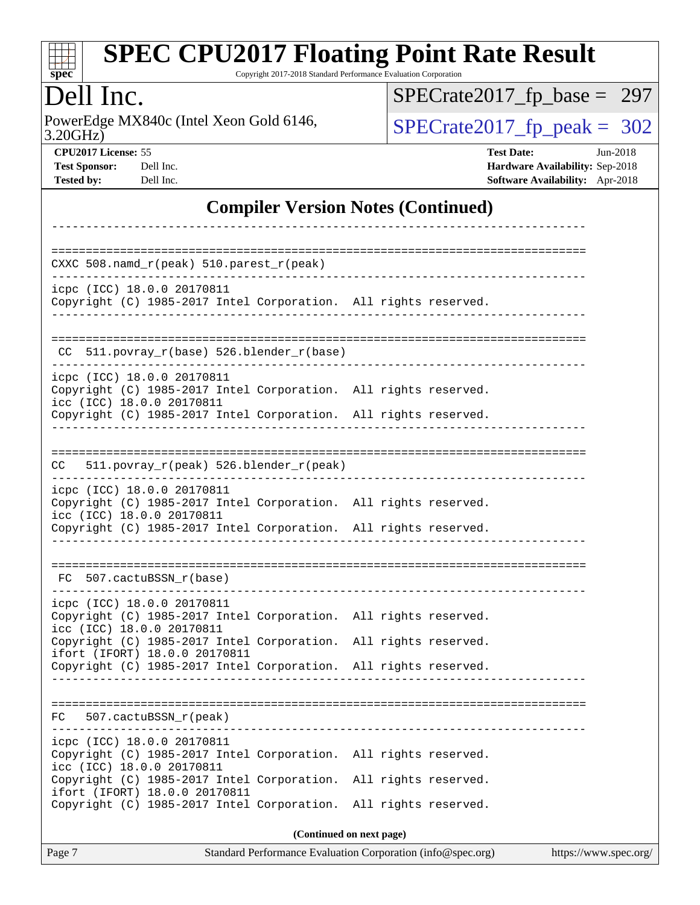| S | D<br>I | æ | Ľ |  |
|---|--------|---|---|--|

Copyright 2017-2018 Standard Performance Evaluation Corporation

Dell Inc.<br>PowerEdge MX840c (Intel Xeon Gold 6146, 3.20GHz)

 $SPECTate 2017_fp\_peak = 302$ [SPECrate2017\\_fp\\_base =](http://www.spec.org/auto/cpu2017/Docs/result-fields.html#SPECrate2017fpbase) 297

**[CPU2017 License:](http://www.spec.org/auto/cpu2017/Docs/result-fields.html#CPU2017License)** 55 **[Test Date:](http://www.spec.org/auto/cpu2017/Docs/result-fields.html#TestDate)** Jun-2018

**[Test Sponsor:](http://www.spec.org/auto/cpu2017/Docs/result-fields.html#TestSponsor)** Dell Inc. **[Hardware Availability:](http://www.spec.org/auto/cpu2017/Docs/result-fields.html#HardwareAvailability)** Sep-2018 **[Tested by:](http://www.spec.org/auto/cpu2017/Docs/result-fields.html#Testedby)** Dell Inc. **[Software Availability:](http://www.spec.org/auto/cpu2017/Docs/result-fields.html#SoftwareAvailability)** Apr-2018

### **[Compiler Version Notes \(Continued\)](http://www.spec.org/auto/cpu2017/Docs/result-fields.html#CompilerVersionNotes)**

| CXXC $508.namd_r(peak) 510.parest_r(peak)$                                                                                                                                                    |                                                                                      |
|-----------------------------------------------------------------------------------------------------------------------------------------------------------------------------------------------|--------------------------------------------------------------------------------------|
| icpc (ICC) 18.0.0 20170811<br>Copyright (C) 1985-2017 Intel Corporation. All rights reserved.                                                                                                 |                                                                                      |
| $CC$ 511.povray_r(base) 526.blender_r(base)                                                                                                                                                   |                                                                                      |
| -----------------<br>icpc (ICC) 18.0.0 20170811<br>Copyright (C) 1985-2017 Intel Corporation. All rights reserved.<br>icc (ICC) 18.0.0 20170811                                               |                                                                                      |
| Copyright (C) 1985-2017 Intel Corporation. All rights reserved.                                                                                                                               |                                                                                      |
| 511.povray_r(peak) 526.blender_r(peak)<br>CC.                                                                                                                                                 |                                                                                      |
| icpc (ICC) 18.0.0 20170811<br>Copyright (C) 1985-2017 Intel Corporation. All rights reserved.<br>icc (ICC) 18.0.0 20170811<br>Copyright (C) 1985-2017 Intel Corporation. All rights reserved. |                                                                                      |
| FC 507.cactuBSSN_r(base)                                                                                                                                                                      |                                                                                      |
| icpc (ICC) 18.0.0 20170811<br>Copyright (C) 1985-2017 Intel Corporation. All rights reserved.<br>icc (ICC) 18.0.0 20170811<br>Copyright (C) 1985-2017 Intel Corporation.                      | All rights reserved.                                                                 |
| ifort (IFORT) 18.0.0 20170811<br>Copyright (C) 1985-2017 Intel Corporation. All rights reserved.                                                                                              |                                                                                      |
| 507.cactuBSSN r(peak)<br>FC.                                                                                                                                                                  |                                                                                      |
| icpc (ICC) 18.0.0 20170811<br>Copyright (C) 1985-2017 Intel Corporation.<br>icc (ICC) 18.0.0 20170811                                                                                         | All rights reserved.                                                                 |
| Copyright (C) 1985-2017 Intel Corporation.<br>ifort (IFORT) 18.0.0 20170811<br>Copyright (C) 1985-2017 Intel Corporation.                                                                     | All rights reserved.<br>All rights reserved.                                         |
|                                                                                                                                                                                               | (Continued on next page)                                                             |
| Page 7                                                                                                                                                                                        | Standard Performance Evaluation Corporation (info@spec.org)<br>https://www.spec.org/ |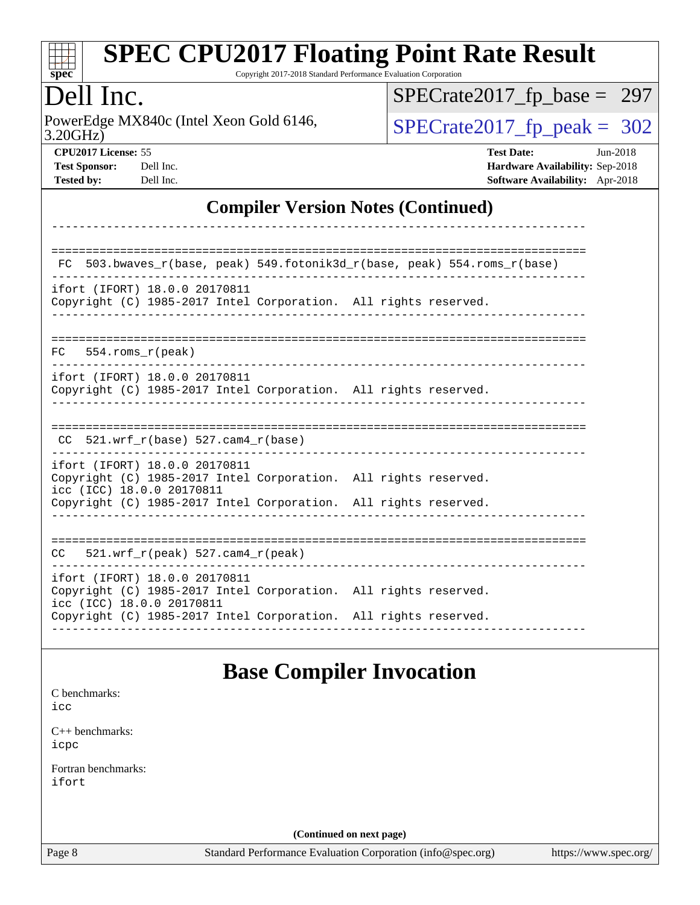

Copyright 2017-2018 Standard Performance Evaluation Corporation

### Dell Inc.

3.20GHz) PowerEdge MX840c (Intel Xeon Gold 6146,  $SPECrate2017_fp\_peak = 302$ 

[SPECrate2017\\_fp\\_base =](http://www.spec.org/auto/cpu2017/Docs/result-fields.html#SPECrate2017fpbase) 297

| <b>Test Sponsor:</b> | Dell I <sub>I</sub> |
|----------------------|---------------------|
| Tactad hv•           | $\rm{Dell}$ Ii      |

**[CPU2017 License:](http://www.spec.org/auto/cpu2017/Docs/result-fields.html#CPU2017License)** 55 **[Test Date:](http://www.spec.org/auto/cpu2017/Docs/result-fields.html#TestDate)** Jun-2018 **[Test Sponsor:](http://www.spec.org/auto/cpu2017/Docs/result-fields.html#TestSponsor) [Hardware Availability:](http://www.spec.org/auto/cpu2017/Docs/result-fields.html#HardwareAvailability)** Sep-2018 **[Tested by:](http://www.spec.org/auto/cpu2017/Docs/result-fields.html#Testedby)** Dell Inc. **[Software Availability:](http://www.spec.org/auto/cpu2017/Docs/result-fields.html#SoftwareAvailability)** Apr-2018

### **[Compiler Version Notes \(Continued\)](http://www.spec.org/auto/cpu2017/Docs/result-fields.html#CompilerVersionNotes)**

| FC.                                                        | 503.bwaves_r(base, peak) 549.fotonik3d_r(base, peak) 554.roms_r(base)                                                              |
|------------------------------------------------------------|------------------------------------------------------------------------------------------------------------------------------------|
| ifort (IFORT) 18.0.0 20170811                              | Copyright (C) 1985-2017 Intel Corporation. All rights reserved.                                                                    |
| $FC$ 554. roms $r$ (peak)                                  |                                                                                                                                    |
| ifort (IFORT) 18.0.0 20170811                              | Copyright (C) 1985-2017 Intel Corporation. All rights reserved.                                                                    |
| 521.wrf $r(base)$ 527.cam4 $r(base)$<br>CC.                |                                                                                                                                    |
| ifort (IFORT) 18.0.0 20170811<br>icc (ICC) 18.0.0 20170811 | Copyright (C) 1985-2017 Intel Corporation. All rights reserved.<br>Copyright (C) 1985-2017 Intel Corporation. All rights reserved. |
| 521.wrf $r(\text{peak})$ 527.cam4 $r(\text{peak})$<br>CC   |                                                                                                                                    |
| ifort (IFORT) 18.0.0 20170811<br>icc (ICC) 18.0.0 20170811 | Copyright (C) 1985-2017 Intel Corporation. All rights reserved.<br>Copyright (C) 1985-2017 Intel Corporation. All rights reserved. |

**[Base Compiler Invocation](http://www.spec.org/auto/cpu2017/Docs/result-fields.html#BaseCompilerInvocation)**

[C benchmarks](http://www.spec.org/auto/cpu2017/Docs/result-fields.html#Cbenchmarks): [icc](http://www.spec.org/cpu2017/results/res2018q4/cpu2017-20181001-09019.flags.html#user_CCbase_intel_icc_18.0_66fc1ee009f7361af1fbd72ca7dcefbb700085f36577c54f309893dd4ec40d12360134090235512931783d35fd58c0460139e722d5067c5574d8eaf2b3e37e92)

[C++ benchmarks:](http://www.spec.org/auto/cpu2017/Docs/result-fields.html#CXXbenchmarks) [icpc](http://www.spec.org/cpu2017/results/res2018q4/cpu2017-20181001-09019.flags.html#user_CXXbase_intel_icpc_18.0_c510b6838c7f56d33e37e94d029a35b4a7bccf4766a728ee175e80a419847e808290a9b78be685c44ab727ea267ec2f070ec5dc83b407c0218cded6866a35d07)

[Fortran benchmarks](http://www.spec.org/auto/cpu2017/Docs/result-fields.html#Fortranbenchmarks): [ifort](http://www.spec.org/cpu2017/results/res2018q4/cpu2017-20181001-09019.flags.html#user_FCbase_intel_ifort_18.0_8111460550e3ca792625aed983ce982f94888b8b503583aa7ba2b8303487b4d8a21a13e7191a45c5fd58ff318f48f9492884d4413fa793fd88dd292cad7027ca)

**(Continued on next page)**

Page 8 Standard Performance Evaluation Corporation [\(info@spec.org\)](mailto:info@spec.org) <https://www.spec.org/>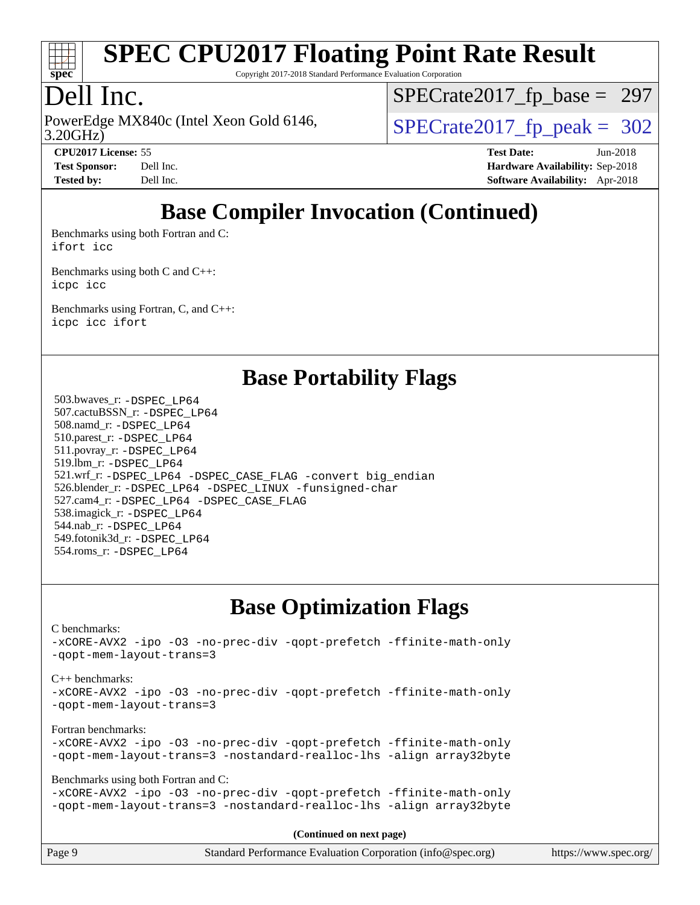

Copyright 2017-2018 Standard Performance Evaluation Corporation

### Dell Inc.

3.20GHz) PowerEdge MX840c (Intel Xeon Gold 6146,  $\vert$ [SPECrate2017\\_fp\\_peak =](http://www.spec.org/auto/cpu2017/Docs/result-fields.html#SPECrate2017fppeak) 302

[SPECrate2017\\_fp\\_base =](http://www.spec.org/auto/cpu2017/Docs/result-fields.html#SPECrate2017fpbase) 297

**[CPU2017 License:](http://www.spec.org/auto/cpu2017/Docs/result-fields.html#CPU2017License)** 55 **[Test Date:](http://www.spec.org/auto/cpu2017/Docs/result-fields.html#TestDate)** Jun-2018 **[Test Sponsor:](http://www.spec.org/auto/cpu2017/Docs/result-fields.html#TestSponsor)** Dell Inc. **[Hardware Availability:](http://www.spec.org/auto/cpu2017/Docs/result-fields.html#HardwareAvailability)** Sep-2018 **[Tested by:](http://www.spec.org/auto/cpu2017/Docs/result-fields.html#Testedby)** Dell Inc. **[Software Availability:](http://www.spec.org/auto/cpu2017/Docs/result-fields.html#SoftwareAvailability)** Apr-2018

# **[Base Compiler Invocation \(Continued\)](http://www.spec.org/auto/cpu2017/Docs/result-fields.html#BaseCompilerInvocation)**

[Benchmarks using both Fortran and C](http://www.spec.org/auto/cpu2017/Docs/result-fields.html#BenchmarksusingbothFortranandC): [ifort](http://www.spec.org/cpu2017/results/res2018q4/cpu2017-20181001-09019.flags.html#user_CC_FCbase_intel_ifort_18.0_8111460550e3ca792625aed983ce982f94888b8b503583aa7ba2b8303487b4d8a21a13e7191a45c5fd58ff318f48f9492884d4413fa793fd88dd292cad7027ca) [icc](http://www.spec.org/cpu2017/results/res2018q4/cpu2017-20181001-09019.flags.html#user_CC_FCbase_intel_icc_18.0_66fc1ee009f7361af1fbd72ca7dcefbb700085f36577c54f309893dd4ec40d12360134090235512931783d35fd58c0460139e722d5067c5574d8eaf2b3e37e92)

[Benchmarks using both C and C++](http://www.spec.org/auto/cpu2017/Docs/result-fields.html#BenchmarksusingbothCandCXX): [icpc](http://www.spec.org/cpu2017/results/res2018q4/cpu2017-20181001-09019.flags.html#user_CC_CXXbase_intel_icpc_18.0_c510b6838c7f56d33e37e94d029a35b4a7bccf4766a728ee175e80a419847e808290a9b78be685c44ab727ea267ec2f070ec5dc83b407c0218cded6866a35d07) [icc](http://www.spec.org/cpu2017/results/res2018q4/cpu2017-20181001-09019.flags.html#user_CC_CXXbase_intel_icc_18.0_66fc1ee009f7361af1fbd72ca7dcefbb700085f36577c54f309893dd4ec40d12360134090235512931783d35fd58c0460139e722d5067c5574d8eaf2b3e37e92)

[Benchmarks using Fortran, C, and C++:](http://www.spec.org/auto/cpu2017/Docs/result-fields.html#BenchmarksusingFortranCandCXX) [icpc](http://www.spec.org/cpu2017/results/res2018q4/cpu2017-20181001-09019.flags.html#user_CC_CXX_FCbase_intel_icpc_18.0_c510b6838c7f56d33e37e94d029a35b4a7bccf4766a728ee175e80a419847e808290a9b78be685c44ab727ea267ec2f070ec5dc83b407c0218cded6866a35d07) [icc](http://www.spec.org/cpu2017/results/res2018q4/cpu2017-20181001-09019.flags.html#user_CC_CXX_FCbase_intel_icc_18.0_66fc1ee009f7361af1fbd72ca7dcefbb700085f36577c54f309893dd4ec40d12360134090235512931783d35fd58c0460139e722d5067c5574d8eaf2b3e37e92) [ifort](http://www.spec.org/cpu2017/results/res2018q4/cpu2017-20181001-09019.flags.html#user_CC_CXX_FCbase_intel_ifort_18.0_8111460550e3ca792625aed983ce982f94888b8b503583aa7ba2b8303487b4d8a21a13e7191a45c5fd58ff318f48f9492884d4413fa793fd88dd292cad7027ca)

| <b>Base Portability Flags</b> |  |
|-------------------------------|--|
|                               |  |

 503.bwaves\_r: [-DSPEC\\_LP64](http://www.spec.org/cpu2017/results/res2018q4/cpu2017-20181001-09019.flags.html#suite_basePORTABILITY503_bwaves_r_DSPEC_LP64) 507.cactuBSSN\_r: [-DSPEC\\_LP64](http://www.spec.org/cpu2017/results/res2018q4/cpu2017-20181001-09019.flags.html#suite_basePORTABILITY507_cactuBSSN_r_DSPEC_LP64) 508.namd\_r: [-DSPEC\\_LP64](http://www.spec.org/cpu2017/results/res2018q4/cpu2017-20181001-09019.flags.html#suite_basePORTABILITY508_namd_r_DSPEC_LP64) 510.parest\_r: [-DSPEC\\_LP64](http://www.spec.org/cpu2017/results/res2018q4/cpu2017-20181001-09019.flags.html#suite_basePORTABILITY510_parest_r_DSPEC_LP64) 511.povray\_r: [-DSPEC\\_LP64](http://www.spec.org/cpu2017/results/res2018q4/cpu2017-20181001-09019.flags.html#suite_basePORTABILITY511_povray_r_DSPEC_LP64) 519.lbm\_r: [-DSPEC\\_LP64](http://www.spec.org/cpu2017/results/res2018q4/cpu2017-20181001-09019.flags.html#suite_basePORTABILITY519_lbm_r_DSPEC_LP64) 521.wrf\_r: [-DSPEC\\_LP64](http://www.spec.org/cpu2017/results/res2018q4/cpu2017-20181001-09019.flags.html#suite_basePORTABILITY521_wrf_r_DSPEC_LP64) [-DSPEC\\_CASE\\_FLAG](http://www.spec.org/cpu2017/results/res2018q4/cpu2017-20181001-09019.flags.html#b521.wrf_r_baseCPORTABILITY_DSPEC_CASE_FLAG) [-convert big\\_endian](http://www.spec.org/cpu2017/results/res2018q4/cpu2017-20181001-09019.flags.html#user_baseFPORTABILITY521_wrf_r_convert_big_endian_c3194028bc08c63ac5d04de18c48ce6d347e4e562e8892b8bdbdc0214820426deb8554edfa529a3fb25a586e65a3d812c835984020483e7e73212c4d31a38223) 526.blender\_r: [-DSPEC\\_LP64](http://www.spec.org/cpu2017/results/res2018q4/cpu2017-20181001-09019.flags.html#suite_basePORTABILITY526_blender_r_DSPEC_LP64) [-DSPEC\\_LINUX](http://www.spec.org/cpu2017/results/res2018q4/cpu2017-20181001-09019.flags.html#b526.blender_r_baseCPORTABILITY_DSPEC_LINUX) [-funsigned-char](http://www.spec.org/cpu2017/results/res2018q4/cpu2017-20181001-09019.flags.html#user_baseCPORTABILITY526_blender_r_force_uchar_40c60f00ab013830e2dd6774aeded3ff59883ba5a1fc5fc14077f794d777847726e2a5858cbc7672e36e1b067e7e5c1d9a74f7176df07886a243d7cc18edfe67) 527.cam4\_r: [-DSPEC\\_LP64](http://www.spec.org/cpu2017/results/res2018q4/cpu2017-20181001-09019.flags.html#suite_basePORTABILITY527_cam4_r_DSPEC_LP64) [-DSPEC\\_CASE\\_FLAG](http://www.spec.org/cpu2017/results/res2018q4/cpu2017-20181001-09019.flags.html#b527.cam4_r_baseCPORTABILITY_DSPEC_CASE_FLAG) 538.imagick\_r: [-DSPEC\\_LP64](http://www.spec.org/cpu2017/results/res2018q4/cpu2017-20181001-09019.flags.html#suite_basePORTABILITY538_imagick_r_DSPEC_LP64) 544.nab\_r: [-DSPEC\\_LP64](http://www.spec.org/cpu2017/results/res2018q4/cpu2017-20181001-09019.flags.html#suite_basePORTABILITY544_nab_r_DSPEC_LP64) 549.fotonik3d\_r: [-DSPEC\\_LP64](http://www.spec.org/cpu2017/results/res2018q4/cpu2017-20181001-09019.flags.html#suite_basePORTABILITY549_fotonik3d_r_DSPEC_LP64) 554.roms\_r: [-DSPEC\\_LP64](http://www.spec.org/cpu2017/results/res2018q4/cpu2017-20181001-09019.flags.html#suite_basePORTABILITY554_roms_r_DSPEC_LP64)

### **[Base Optimization Flags](http://www.spec.org/auto/cpu2017/Docs/result-fields.html#BaseOptimizationFlags)**

[C benchmarks](http://www.spec.org/auto/cpu2017/Docs/result-fields.html#Cbenchmarks): [-xCORE-AVX2](http://www.spec.org/cpu2017/results/res2018q4/cpu2017-20181001-09019.flags.html#user_CCbase_f-xCORE-AVX2) [-ipo](http://www.spec.org/cpu2017/results/res2018q4/cpu2017-20181001-09019.flags.html#user_CCbase_f-ipo) [-O3](http://www.spec.org/cpu2017/results/res2018q4/cpu2017-20181001-09019.flags.html#user_CCbase_f-O3) [-no-prec-div](http://www.spec.org/cpu2017/results/res2018q4/cpu2017-20181001-09019.flags.html#user_CCbase_f-no-prec-div) [-qopt-prefetch](http://www.spec.org/cpu2017/results/res2018q4/cpu2017-20181001-09019.flags.html#user_CCbase_f-qopt-prefetch) [-ffinite-math-only](http://www.spec.org/cpu2017/results/res2018q4/cpu2017-20181001-09019.flags.html#user_CCbase_f_finite_math_only_cb91587bd2077682c4b38af759c288ed7c732db004271a9512da14a4f8007909a5f1427ecbf1a0fb78ff2a814402c6114ac565ca162485bbcae155b5e4258871) [-qopt-mem-layout-trans=3](http://www.spec.org/cpu2017/results/res2018q4/cpu2017-20181001-09019.flags.html#user_CCbase_f-qopt-mem-layout-trans_de80db37974c74b1f0e20d883f0b675c88c3b01e9d123adea9b28688d64333345fb62bc4a798493513fdb68f60282f9a726aa07f478b2f7113531aecce732043) [C++ benchmarks:](http://www.spec.org/auto/cpu2017/Docs/result-fields.html#CXXbenchmarks) [-xCORE-AVX2](http://www.spec.org/cpu2017/results/res2018q4/cpu2017-20181001-09019.flags.html#user_CXXbase_f-xCORE-AVX2) [-ipo](http://www.spec.org/cpu2017/results/res2018q4/cpu2017-20181001-09019.flags.html#user_CXXbase_f-ipo) [-O3](http://www.spec.org/cpu2017/results/res2018q4/cpu2017-20181001-09019.flags.html#user_CXXbase_f-O3) [-no-prec-div](http://www.spec.org/cpu2017/results/res2018q4/cpu2017-20181001-09019.flags.html#user_CXXbase_f-no-prec-div) [-qopt-prefetch](http://www.spec.org/cpu2017/results/res2018q4/cpu2017-20181001-09019.flags.html#user_CXXbase_f-qopt-prefetch) [-ffinite-math-only](http://www.spec.org/cpu2017/results/res2018q4/cpu2017-20181001-09019.flags.html#user_CXXbase_f_finite_math_only_cb91587bd2077682c4b38af759c288ed7c732db004271a9512da14a4f8007909a5f1427ecbf1a0fb78ff2a814402c6114ac565ca162485bbcae155b5e4258871) [-qopt-mem-layout-trans=3](http://www.spec.org/cpu2017/results/res2018q4/cpu2017-20181001-09019.flags.html#user_CXXbase_f-qopt-mem-layout-trans_de80db37974c74b1f0e20d883f0b675c88c3b01e9d123adea9b28688d64333345fb62bc4a798493513fdb68f60282f9a726aa07f478b2f7113531aecce732043) [Fortran benchmarks](http://www.spec.org/auto/cpu2017/Docs/result-fields.html#Fortranbenchmarks): [-xCORE-AVX2](http://www.spec.org/cpu2017/results/res2018q4/cpu2017-20181001-09019.flags.html#user_FCbase_f-xCORE-AVX2) [-ipo](http://www.spec.org/cpu2017/results/res2018q4/cpu2017-20181001-09019.flags.html#user_FCbase_f-ipo) [-O3](http://www.spec.org/cpu2017/results/res2018q4/cpu2017-20181001-09019.flags.html#user_FCbase_f-O3) [-no-prec-div](http://www.spec.org/cpu2017/results/res2018q4/cpu2017-20181001-09019.flags.html#user_FCbase_f-no-prec-div) [-qopt-prefetch](http://www.spec.org/cpu2017/results/res2018q4/cpu2017-20181001-09019.flags.html#user_FCbase_f-qopt-prefetch) [-ffinite-math-only](http://www.spec.org/cpu2017/results/res2018q4/cpu2017-20181001-09019.flags.html#user_FCbase_f_finite_math_only_cb91587bd2077682c4b38af759c288ed7c732db004271a9512da14a4f8007909a5f1427ecbf1a0fb78ff2a814402c6114ac565ca162485bbcae155b5e4258871) [-qopt-mem-layout-trans=3](http://www.spec.org/cpu2017/results/res2018q4/cpu2017-20181001-09019.flags.html#user_FCbase_f-qopt-mem-layout-trans_de80db37974c74b1f0e20d883f0b675c88c3b01e9d123adea9b28688d64333345fb62bc4a798493513fdb68f60282f9a726aa07f478b2f7113531aecce732043) [-nostandard-realloc-lhs](http://www.spec.org/cpu2017/results/res2018q4/cpu2017-20181001-09019.flags.html#user_FCbase_f_2003_std_realloc_82b4557e90729c0f113870c07e44d33d6f5a304b4f63d4c15d2d0f1fab99f5daaed73bdb9275d9ae411527f28b936061aa8b9c8f2d63842963b95c9dd6426b8a) [-align array32byte](http://www.spec.org/cpu2017/results/res2018q4/cpu2017-20181001-09019.flags.html#user_FCbase_align_array32byte_b982fe038af199962ba9a80c053b8342c548c85b40b8e86eb3cc33dee0d7986a4af373ac2d51c3f7cf710a18d62fdce2948f201cd044323541f22fc0fffc51b6) [Benchmarks using both Fortran and C](http://www.spec.org/auto/cpu2017/Docs/result-fields.html#BenchmarksusingbothFortranandC): [-xCORE-AVX2](http://www.spec.org/cpu2017/results/res2018q4/cpu2017-20181001-09019.flags.html#user_CC_FCbase_f-xCORE-AVX2) [-ipo](http://www.spec.org/cpu2017/results/res2018q4/cpu2017-20181001-09019.flags.html#user_CC_FCbase_f-ipo) [-O3](http://www.spec.org/cpu2017/results/res2018q4/cpu2017-20181001-09019.flags.html#user_CC_FCbase_f-O3) [-no-prec-div](http://www.spec.org/cpu2017/results/res2018q4/cpu2017-20181001-09019.flags.html#user_CC_FCbase_f-no-prec-div) [-qopt-prefetch](http://www.spec.org/cpu2017/results/res2018q4/cpu2017-20181001-09019.flags.html#user_CC_FCbase_f-qopt-prefetch) [-ffinite-math-only](http://www.spec.org/cpu2017/results/res2018q4/cpu2017-20181001-09019.flags.html#user_CC_FCbase_f_finite_math_only_cb91587bd2077682c4b38af759c288ed7c732db004271a9512da14a4f8007909a5f1427ecbf1a0fb78ff2a814402c6114ac565ca162485bbcae155b5e4258871) [-qopt-mem-layout-trans=3](http://www.spec.org/cpu2017/results/res2018q4/cpu2017-20181001-09019.flags.html#user_CC_FCbase_f-qopt-mem-layout-trans_de80db37974c74b1f0e20d883f0b675c88c3b01e9d123adea9b28688d64333345fb62bc4a798493513fdb68f60282f9a726aa07f478b2f7113531aecce732043) [-nostandard-realloc-lhs](http://www.spec.org/cpu2017/results/res2018q4/cpu2017-20181001-09019.flags.html#user_CC_FCbase_f_2003_std_realloc_82b4557e90729c0f113870c07e44d33d6f5a304b4f63d4c15d2d0f1fab99f5daaed73bdb9275d9ae411527f28b936061aa8b9c8f2d63842963b95c9dd6426b8a) [-align array32byte](http://www.spec.org/cpu2017/results/res2018q4/cpu2017-20181001-09019.flags.html#user_CC_FCbase_align_array32byte_b982fe038af199962ba9a80c053b8342c548c85b40b8e86eb3cc33dee0d7986a4af373ac2d51c3f7cf710a18d62fdce2948f201cd044323541f22fc0fffc51b6) **(Continued on next page)**

|        | $\sim$                                                      |                       |
|--------|-------------------------------------------------------------|-----------------------|
| Page 9 | Standard Performance Evaluation Corporation (info@spec.org) | https://www.spec.org/ |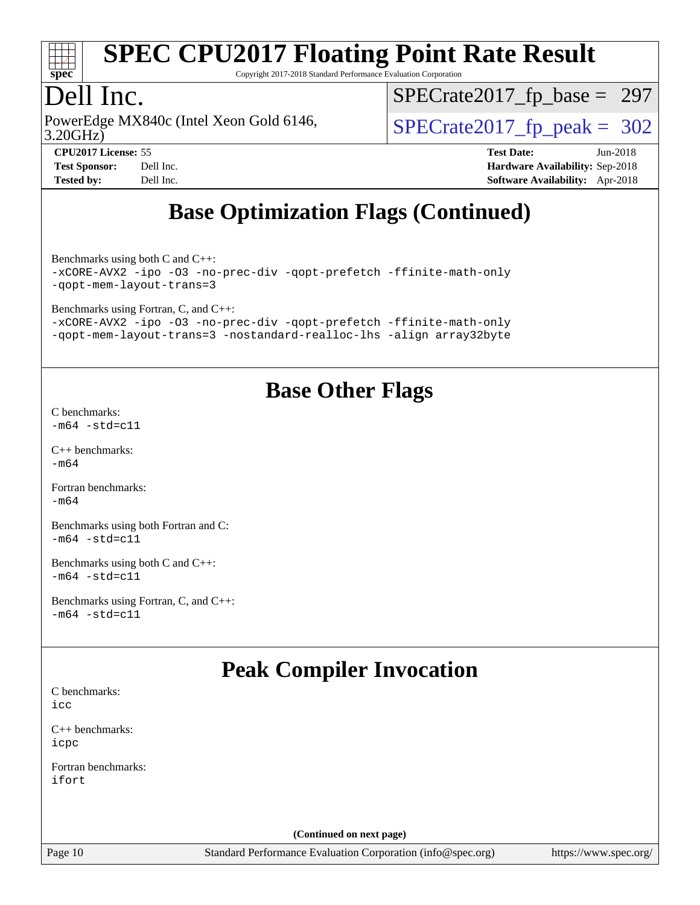

Copyright 2017-2018 Standard Performance Evaluation Corporation

## Dell Inc.

3.20GHz) PowerEdge MX840c (Intel Xeon Gold 6146,  $\vert$ [SPECrate2017\\_fp\\_peak =](http://www.spec.org/auto/cpu2017/Docs/result-fields.html#SPECrate2017fppeak) 302

[SPECrate2017\\_fp\\_base =](http://www.spec.org/auto/cpu2017/Docs/result-fields.html#SPECrate2017fpbase) 297

**[CPU2017 License:](http://www.spec.org/auto/cpu2017/Docs/result-fields.html#CPU2017License)** 55 **[Test Date:](http://www.spec.org/auto/cpu2017/Docs/result-fields.html#TestDate)** Jun-2018 **[Test Sponsor:](http://www.spec.org/auto/cpu2017/Docs/result-fields.html#TestSponsor)** Dell Inc. **[Hardware Availability:](http://www.spec.org/auto/cpu2017/Docs/result-fields.html#HardwareAvailability)** Sep-2018 **[Tested by:](http://www.spec.org/auto/cpu2017/Docs/result-fields.html#Testedby)** Dell Inc. **[Software Availability:](http://www.spec.org/auto/cpu2017/Docs/result-fields.html#SoftwareAvailability)** Apr-2018

# **[Base Optimization Flags \(Continued\)](http://www.spec.org/auto/cpu2017/Docs/result-fields.html#BaseOptimizationFlags)**

[Benchmarks using both C and C++](http://www.spec.org/auto/cpu2017/Docs/result-fields.html#BenchmarksusingbothCandCXX): [-xCORE-AVX2](http://www.spec.org/cpu2017/results/res2018q4/cpu2017-20181001-09019.flags.html#user_CC_CXXbase_f-xCORE-AVX2) [-ipo](http://www.spec.org/cpu2017/results/res2018q4/cpu2017-20181001-09019.flags.html#user_CC_CXXbase_f-ipo) [-O3](http://www.spec.org/cpu2017/results/res2018q4/cpu2017-20181001-09019.flags.html#user_CC_CXXbase_f-O3) [-no-prec-div](http://www.spec.org/cpu2017/results/res2018q4/cpu2017-20181001-09019.flags.html#user_CC_CXXbase_f-no-prec-div) [-qopt-prefetch](http://www.spec.org/cpu2017/results/res2018q4/cpu2017-20181001-09019.flags.html#user_CC_CXXbase_f-qopt-prefetch) [-ffinite-math-only](http://www.spec.org/cpu2017/results/res2018q4/cpu2017-20181001-09019.flags.html#user_CC_CXXbase_f_finite_math_only_cb91587bd2077682c4b38af759c288ed7c732db004271a9512da14a4f8007909a5f1427ecbf1a0fb78ff2a814402c6114ac565ca162485bbcae155b5e4258871)

[-qopt-mem-layout-trans=3](http://www.spec.org/cpu2017/results/res2018q4/cpu2017-20181001-09019.flags.html#user_CC_CXXbase_f-qopt-mem-layout-trans_de80db37974c74b1f0e20d883f0b675c88c3b01e9d123adea9b28688d64333345fb62bc4a798493513fdb68f60282f9a726aa07f478b2f7113531aecce732043)

[Benchmarks using Fortran, C, and C++:](http://www.spec.org/auto/cpu2017/Docs/result-fields.html#BenchmarksusingFortranCandCXX)

[-xCORE-AVX2](http://www.spec.org/cpu2017/results/res2018q4/cpu2017-20181001-09019.flags.html#user_CC_CXX_FCbase_f-xCORE-AVX2) [-ipo](http://www.spec.org/cpu2017/results/res2018q4/cpu2017-20181001-09019.flags.html#user_CC_CXX_FCbase_f-ipo) [-O3](http://www.spec.org/cpu2017/results/res2018q4/cpu2017-20181001-09019.flags.html#user_CC_CXX_FCbase_f-O3) [-no-prec-div](http://www.spec.org/cpu2017/results/res2018q4/cpu2017-20181001-09019.flags.html#user_CC_CXX_FCbase_f-no-prec-div) [-qopt-prefetch](http://www.spec.org/cpu2017/results/res2018q4/cpu2017-20181001-09019.flags.html#user_CC_CXX_FCbase_f-qopt-prefetch) [-ffinite-math-only](http://www.spec.org/cpu2017/results/res2018q4/cpu2017-20181001-09019.flags.html#user_CC_CXX_FCbase_f_finite_math_only_cb91587bd2077682c4b38af759c288ed7c732db004271a9512da14a4f8007909a5f1427ecbf1a0fb78ff2a814402c6114ac565ca162485bbcae155b5e4258871) [-qopt-mem-layout-trans=3](http://www.spec.org/cpu2017/results/res2018q4/cpu2017-20181001-09019.flags.html#user_CC_CXX_FCbase_f-qopt-mem-layout-trans_de80db37974c74b1f0e20d883f0b675c88c3b01e9d123adea9b28688d64333345fb62bc4a798493513fdb68f60282f9a726aa07f478b2f7113531aecce732043) [-nostandard-realloc-lhs](http://www.spec.org/cpu2017/results/res2018q4/cpu2017-20181001-09019.flags.html#user_CC_CXX_FCbase_f_2003_std_realloc_82b4557e90729c0f113870c07e44d33d6f5a304b4f63d4c15d2d0f1fab99f5daaed73bdb9275d9ae411527f28b936061aa8b9c8f2d63842963b95c9dd6426b8a) [-align array32byte](http://www.spec.org/cpu2017/results/res2018q4/cpu2017-20181001-09019.flags.html#user_CC_CXX_FCbase_align_array32byte_b982fe038af199962ba9a80c053b8342c548c85b40b8e86eb3cc33dee0d7986a4af373ac2d51c3f7cf710a18d62fdce2948f201cd044323541f22fc0fffc51b6)

# **[Base Other Flags](http://www.spec.org/auto/cpu2017/Docs/result-fields.html#BaseOtherFlags)**

[C benchmarks](http://www.spec.org/auto/cpu2017/Docs/result-fields.html#Cbenchmarks):  $-m64 - std= c11$  $-m64 - std= c11$ 

[C++ benchmarks:](http://www.spec.org/auto/cpu2017/Docs/result-fields.html#CXXbenchmarks)  $-m64$ 

[Fortran benchmarks](http://www.spec.org/auto/cpu2017/Docs/result-fields.html#Fortranbenchmarks): [-m64](http://www.spec.org/cpu2017/results/res2018q4/cpu2017-20181001-09019.flags.html#user_FCbase_intel_intel64_18.0_af43caccfc8ded86e7699f2159af6efc7655f51387b94da716254467f3c01020a5059329e2569e4053f409e7c9202a7efc638f7a6d1ffb3f52dea4a3e31d82ab)

[Benchmarks using both Fortran and C](http://www.spec.org/auto/cpu2017/Docs/result-fields.html#BenchmarksusingbothFortranandC):  $-m64 - std= c11$  $-m64 - std= c11$ 

[Benchmarks using both C and C++](http://www.spec.org/auto/cpu2017/Docs/result-fields.html#BenchmarksusingbothCandCXX):  $-m64 - std= c11$  $-m64 - std= c11$ 

[Benchmarks using Fortran, C, and C++:](http://www.spec.org/auto/cpu2017/Docs/result-fields.html#BenchmarksusingFortranCandCXX)  $-m64 - std= c11$  $-m64 - std= c11$ 

# **[Peak Compiler Invocation](http://www.spec.org/auto/cpu2017/Docs/result-fields.html#PeakCompilerInvocation)**

[C benchmarks](http://www.spec.org/auto/cpu2017/Docs/result-fields.html#Cbenchmarks): [icc](http://www.spec.org/cpu2017/results/res2018q4/cpu2017-20181001-09019.flags.html#user_CCpeak_intel_icc_18.0_66fc1ee009f7361af1fbd72ca7dcefbb700085f36577c54f309893dd4ec40d12360134090235512931783d35fd58c0460139e722d5067c5574d8eaf2b3e37e92)

[C++ benchmarks:](http://www.spec.org/auto/cpu2017/Docs/result-fields.html#CXXbenchmarks) [icpc](http://www.spec.org/cpu2017/results/res2018q4/cpu2017-20181001-09019.flags.html#user_CXXpeak_intel_icpc_18.0_c510b6838c7f56d33e37e94d029a35b4a7bccf4766a728ee175e80a419847e808290a9b78be685c44ab727ea267ec2f070ec5dc83b407c0218cded6866a35d07)

[Fortran benchmarks](http://www.spec.org/auto/cpu2017/Docs/result-fields.html#Fortranbenchmarks): [ifort](http://www.spec.org/cpu2017/results/res2018q4/cpu2017-20181001-09019.flags.html#user_FCpeak_intel_ifort_18.0_8111460550e3ca792625aed983ce982f94888b8b503583aa7ba2b8303487b4d8a21a13e7191a45c5fd58ff318f48f9492884d4413fa793fd88dd292cad7027ca)

**(Continued on next page)**

Page 10 Standard Performance Evaluation Corporation [\(info@spec.org\)](mailto:info@spec.org) <https://www.spec.org/>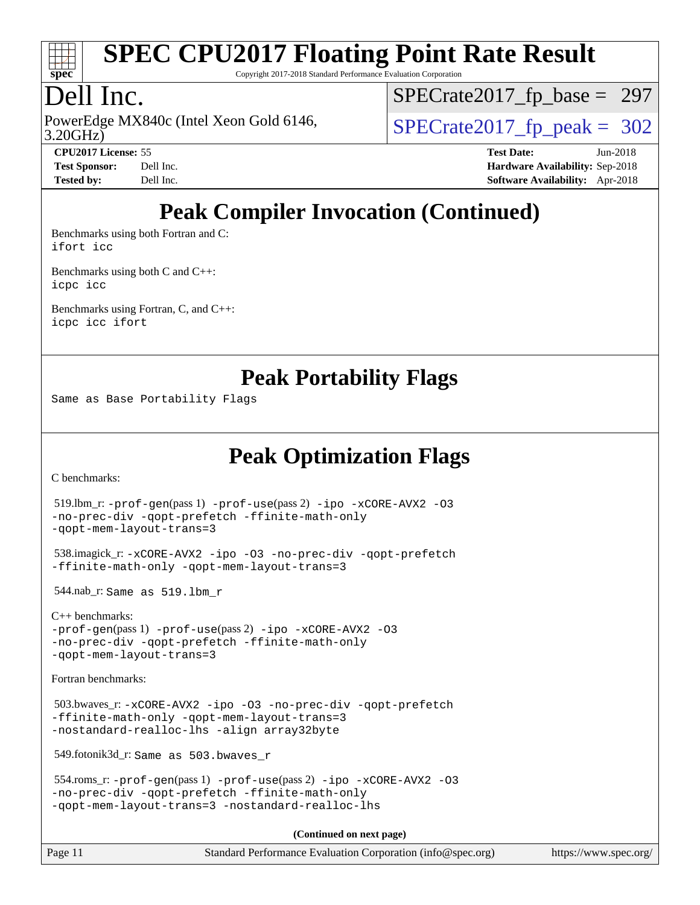

Copyright 2017-2018 Standard Performance Evaluation Corporation

### Dell Inc.

3.20GHz) PowerEdge MX840c (Intel Xeon Gold 6146,  $\vert$ [SPECrate2017\\_fp\\_peak =](http://www.spec.org/auto/cpu2017/Docs/result-fields.html#SPECrate2017fppeak) 302

[SPECrate2017\\_fp\\_base =](http://www.spec.org/auto/cpu2017/Docs/result-fields.html#SPECrate2017fpbase) 297

**[CPU2017 License:](http://www.spec.org/auto/cpu2017/Docs/result-fields.html#CPU2017License)** 55 **[Test Date:](http://www.spec.org/auto/cpu2017/Docs/result-fields.html#TestDate)** Jun-2018 **[Test Sponsor:](http://www.spec.org/auto/cpu2017/Docs/result-fields.html#TestSponsor)** Dell Inc. **[Hardware Availability:](http://www.spec.org/auto/cpu2017/Docs/result-fields.html#HardwareAvailability)** Sep-2018 **[Tested by:](http://www.spec.org/auto/cpu2017/Docs/result-fields.html#Testedby)** Dell Inc. **[Software Availability:](http://www.spec.org/auto/cpu2017/Docs/result-fields.html#SoftwareAvailability)** Apr-2018

# **[Peak Compiler Invocation \(Continued\)](http://www.spec.org/auto/cpu2017/Docs/result-fields.html#PeakCompilerInvocation)**

[Benchmarks using both Fortran and C](http://www.spec.org/auto/cpu2017/Docs/result-fields.html#BenchmarksusingbothFortranandC): [ifort](http://www.spec.org/cpu2017/results/res2018q4/cpu2017-20181001-09019.flags.html#user_CC_FCpeak_intel_ifort_18.0_8111460550e3ca792625aed983ce982f94888b8b503583aa7ba2b8303487b4d8a21a13e7191a45c5fd58ff318f48f9492884d4413fa793fd88dd292cad7027ca) [icc](http://www.spec.org/cpu2017/results/res2018q4/cpu2017-20181001-09019.flags.html#user_CC_FCpeak_intel_icc_18.0_66fc1ee009f7361af1fbd72ca7dcefbb700085f36577c54f309893dd4ec40d12360134090235512931783d35fd58c0460139e722d5067c5574d8eaf2b3e37e92)

[Benchmarks using both C and C++](http://www.spec.org/auto/cpu2017/Docs/result-fields.html#BenchmarksusingbothCandCXX): [icpc](http://www.spec.org/cpu2017/results/res2018q4/cpu2017-20181001-09019.flags.html#user_CC_CXXpeak_intel_icpc_18.0_c510b6838c7f56d33e37e94d029a35b4a7bccf4766a728ee175e80a419847e808290a9b78be685c44ab727ea267ec2f070ec5dc83b407c0218cded6866a35d07) [icc](http://www.spec.org/cpu2017/results/res2018q4/cpu2017-20181001-09019.flags.html#user_CC_CXXpeak_intel_icc_18.0_66fc1ee009f7361af1fbd72ca7dcefbb700085f36577c54f309893dd4ec40d12360134090235512931783d35fd58c0460139e722d5067c5574d8eaf2b3e37e92)

[Benchmarks using Fortran, C, and C++:](http://www.spec.org/auto/cpu2017/Docs/result-fields.html#BenchmarksusingFortranCandCXX) [icpc](http://www.spec.org/cpu2017/results/res2018q4/cpu2017-20181001-09019.flags.html#user_CC_CXX_FCpeak_intel_icpc_18.0_c510b6838c7f56d33e37e94d029a35b4a7bccf4766a728ee175e80a419847e808290a9b78be685c44ab727ea267ec2f070ec5dc83b407c0218cded6866a35d07) [icc](http://www.spec.org/cpu2017/results/res2018q4/cpu2017-20181001-09019.flags.html#user_CC_CXX_FCpeak_intel_icc_18.0_66fc1ee009f7361af1fbd72ca7dcefbb700085f36577c54f309893dd4ec40d12360134090235512931783d35fd58c0460139e722d5067c5574d8eaf2b3e37e92) [ifort](http://www.spec.org/cpu2017/results/res2018q4/cpu2017-20181001-09019.flags.html#user_CC_CXX_FCpeak_intel_ifort_18.0_8111460550e3ca792625aed983ce982f94888b8b503583aa7ba2b8303487b4d8a21a13e7191a45c5fd58ff318f48f9492884d4413fa793fd88dd292cad7027ca)

**[Peak Portability Flags](http://www.spec.org/auto/cpu2017/Docs/result-fields.html#PeakPortabilityFlags)**

Same as Base Portability Flags

**[Peak Optimization Flags](http://www.spec.org/auto/cpu2017/Docs/result-fields.html#PeakOptimizationFlags)**

[C benchmarks](http://www.spec.org/auto/cpu2017/Docs/result-fields.html#Cbenchmarks):

```
(info@spec.org)https://www.spec.org/
  519.lbm_r: -prof-gen(pass 1) -prof-use(pass 2) -ipo -xCORE-AVX2 -O3
-no-prec-div -qopt-prefetch -ffinite-math-only
-qopt-mem-layout-trans=3
  538.imagick_r: -xCORE-AVX2 -ipo -O3 -no-prec-div -qopt-prefetch
-ffinite-math-only -qopt-mem-layout-trans=3
  544.nab_r: Same as 519.lbm_r
C++ benchmarks: 
-prof-gen(pass 1) -prof-use(pass 2) -ipo -xCORE-AVX2 -O3
-no-prec-div -qopt-prefetch -ffinite-math-only
-qopt-mem-layout-trans=3
Fortran benchmarks: 
  503.bwaves_r: -xCORE-AVX2 -ipo -O3 -no-prec-div -qopt-prefetch
-ffinite-math-only -qopt-mem-layout-trans=3
-nostandard-realloc-lhs -align array32byte
  549.fotonik3d_r: Same as 503.bwaves_r
  554.roms_r: -prof-gen(pass 1) -prof-use(pass 2) -ipo -xCORE-AVX2 -O3
-no-prec-div -qopt-prefetch -ffinite-math-only
-qopt-mem-layout-trans=3 -nostandard-realloc-lhs
                                    (Continued on next page)
```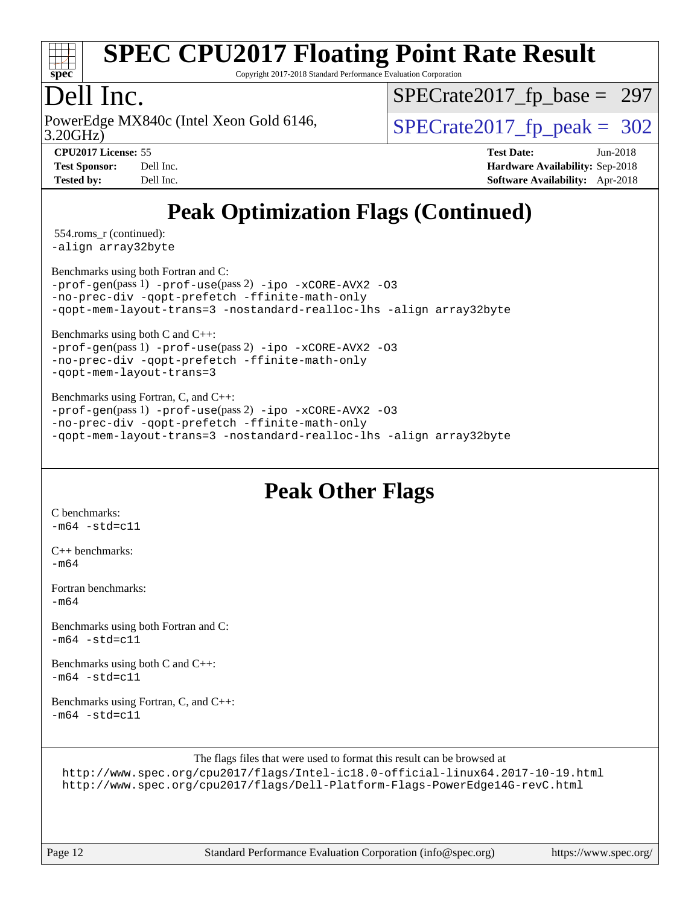

Copyright 2017-2018 Standard Performance Evaluation Corporation

### Dell Inc.

3.20GHz) PowerEdge MX840c (Intel Xeon Gold 6146,  $\vert$ [SPECrate2017\\_fp\\_peak =](http://www.spec.org/auto/cpu2017/Docs/result-fields.html#SPECrate2017fppeak) 302

[SPECrate2017\\_fp\\_base =](http://www.spec.org/auto/cpu2017/Docs/result-fields.html#SPECrate2017fpbase) 297

**[CPU2017 License:](http://www.spec.org/auto/cpu2017/Docs/result-fields.html#CPU2017License)** 55 **[Test Date:](http://www.spec.org/auto/cpu2017/Docs/result-fields.html#TestDate)** Jun-2018 **[Test Sponsor:](http://www.spec.org/auto/cpu2017/Docs/result-fields.html#TestSponsor)** Dell Inc. **[Hardware Availability:](http://www.spec.org/auto/cpu2017/Docs/result-fields.html#HardwareAvailability)** Sep-2018 **[Tested by:](http://www.spec.org/auto/cpu2017/Docs/result-fields.html#Testedby)** Dell Inc. **[Software Availability:](http://www.spec.org/auto/cpu2017/Docs/result-fields.html#SoftwareAvailability)** Apr-2018

# **[Peak Optimization Flags \(Continued\)](http://www.spec.org/auto/cpu2017/Docs/result-fields.html#PeakOptimizationFlags)**

 554.roms\_r (continued): [-align array32byte](http://www.spec.org/cpu2017/results/res2018q4/cpu2017-20181001-09019.flags.html#user_peakEXTRA_FOPTIMIZE554_roms_r_align_array32byte_b982fe038af199962ba9a80c053b8342c548c85b40b8e86eb3cc33dee0d7986a4af373ac2d51c3f7cf710a18d62fdce2948f201cd044323541f22fc0fffc51b6)

[Benchmarks using both Fortran and C](http://www.spec.org/auto/cpu2017/Docs/result-fields.html#BenchmarksusingbothFortranandC):

[-prof-gen](http://www.spec.org/cpu2017/results/res2018q4/cpu2017-20181001-09019.flags.html#user_CC_FCpeak_prof_gen_5aa4926d6013ddb2a31985c654b3eb18169fc0c6952a63635c234f711e6e63dd76e94ad52365559451ec499a2cdb89e4dc58ba4c67ef54ca681ffbe1461d6b36)(pass 1) [-prof-use](http://www.spec.org/cpu2017/results/res2018q4/cpu2017-20181001-09019.flags.html#user_CC_FCpeak_prof_use_1a21ceae95f36a2b53c25747139a6c16ca95bd9def2a207b4f0849963b97e94f5260e30a0c64f4bb623698870e679ca08317ef8150905d41bd88c6f78df73f19)(pass 2) [-ipo](http://www.spec.org/cpu2017/results/res2018q4/cpu2017-20181001-09019.flags.html#user_CC_FCpeak_f-ipo) [-xCORE-AVX2](http://www.spec.org/cpu2017/results/res2018q4/cpu2017-20181001-09019.flags.html#user_CC_FCpeak_f-xCORE-AVX2) [-O3](http://www.spec.org/cpu2017/results/res2018q4/cpu2017-20181001-09019.flags.html#user_CC_FCpeak_f-O3) [-no-prec-div](http://www.spec.org/cpu2017/results/res2018q4/cpu2017-20181001-09019.flags.html#user_CC_FCpeak_f-no-prec-div) [-qopt-prefetch](http://www.spec.org/cpu2017/results/res2018q4/cpu2017-20181001-09019.flags.html#user_CC_FCpeak_f-qopt-prefetch) [-ffinite-math-only](http://www.spec.org/cpu2017/results/res2018q4/cpu2017-20181001-09019.flags.html#user_CC_FCpeak_f_finite_math_only_cb91587bd2077682c4b38af759c288ed7c732db004271a9512da14a4f8007909a5f1427ecbf1a0fb78ff2a814402c6114ac565ca162485bbcae155b5e4258871) [-qopt-mem-layout-trans=3](http://www.spec.org/cpu2017/results/res2018q4/cpu2017-20181001-09019.flags.html#user_CC_FCpeak_f-qopt-mem-layout-trans_de80db37974c74b1f0e20d883f0b675c88c3b01e9d123adea9b28688d64333345fb62bc4a798493513fdb68f60282f9a726aa07f478b2f7113531aecce732043) [-nostandard-realloc-lhs](http://www.spec.org/cpu2017/results/res2018q4/cpu2017-20181001-09019.flags.html#user_CC_FCpeak_f_2003_std_realloc_82b4557e90729c0f113870c07e44d33d6f5a304b4f63d4c15d2d0f1fab99f5daaed73bdb9275d9ae411527f28b936061aa8b9c8f2d63842963b95c9dd6426b8a) [-align array32byte](http://www.spec.org/cpu2017/results/res2018q4/cpu2017-20181001-09019.flags.html#user_CC_FCpeak_align_array32byte_b982fe038af199962ba9a80c053b8342c548c85b40b8e86eb3cc33dee0d7986a4af373ac2d51c3f7cf710a18d62fdce2948f201cd044323541f22fc0fffc51b6)

[Benchmarks using both C and C++](http://www.spec.org/auto/cpu2017/Docs/result-fields.html#BenchmarksusingbothCandCXX):

[-prof-gen](http://www.spec.org/cpu2017/results/res2018q4/cpu2017-20181001-09019.flags.html#user_CC_CXXpeak_prof_gen_5aa4926d6013ddb2a31985c654b3eb18169fc0c6952a63635c234f711e6e63dd76e94ad52365559451ec499a2cdb89e4dc58ba4c67ef54ca681ffbe1461d6b36)(pass 1) [-prof-use](http://www.spec.org/cpu2017/results/res2018q4/cpu2017-20181001-09019.flags.html#user_CC_CXXpeak_prof_use_1a21ceae95f36a2b53c25747139a6c16ca95bd9def2a207b4f0849963b97e94f5260e30a0c64f4bb623698870e679ca08317ef8150905d41bd88c6f78df73f19)(pass 2) [-ipo](http://www.spec.org/cpu2017/results/res2018q4/cpu2017-20181001-09019.flags.html#user_CC_CXXpeak_f-ipo) [-xCORE-AVX2](http://www.spec.org/cpu2017/results/res2018q4/cpu2017-20181001-09019.flags.html#user_CC_CXXpeak_f-xCORE-AVX2) [-O3](http://www.spec.org/cpu2017/results/res2018q4/cpu2017-20181001-09019.flags.html#user_CC_CXXpeak_f-O3) [-no-prec-div](http://www.spec.org/cpu2017/results/res2018q4/cpu2017-20181001-09019.flags.html#user_CC_CXXpeak_f-no-prec-div) [-qopt-prefetch](http://www.spec.org/cpu2017/results/res2018q4/cpu2017-20181001-09019.flags.html#user_CC_CXXpeak_f-qopt-prefetch) [-ffinite-math-only](http://www.spec.org/cpu2017/results/res2018q4/cpu2017-20181001-09019.flags.html#user_CC_CXXpeak_f_finite_math_only_cb91587bd2077682c4b38af759c288ed7c732db004271a9512da14a4f8007909a5f1427ecbf1a0fb78ff2a814402c6114ac565ca162485bbcae155b5e4258871) [-qopt-mem-layout-trans=3](http://www.spec.org/cpu2017/results/res2018q4/cpu2017-20181001-09019.flags.html#user_CC_CXXpeak_f-qopt-mem-layout-trans_de80db37974c74b1f0e20d883f0b675c88c3b01e9d123adea9b28688d64333345fb62bc4a798493513fdb68f60282f9a726aa07f478b2f7113531aecce732043)

[Benchmarks using Fortran, C, and C++:](http://www.spec.org/auto/cpu2017/Docs/result-fields.html#BenchmarksusingFortranCandCXX) [-prof-gen](http://www.spec.org/cpu2017/results/res2018q4/cpu2017-20181001-09019.flags.html#user_CC_CXX_FCpeak_prof_gen_5aa4926d6013ddb2a31985c654b3eb18169fc0c6952a63635c234f711e6e63dd76e94ad52365559451ec499a2cdb89e4dc58ba4c67ef54ca681ffbe1461d6b36)(pass 1) [-prof-use](http://www.spec.org/cpu2017/results/res2018q4/cpu2017-20181001-09019.flags.html#user_CC_CXX_FCpeak_prof_use_1a21ceae95f36a2b53c25747139a6c16ca95bd9def2a207b4f0849963b97e94f5260e30a0c64f4bb623698870e679ca08317ef8150905d41bd88c6f78df73f19)(pass 2) [-ipo](http://www.spec.org/cpu2017/results/res2018q4/cpu2017-20181001-09019.flags.html#user_CC_CXX_FCpeak_f-ipo) [-xCORE-AVX2](http://www.spec.org/cpu2017/results/res2018q4/cpu2017-20181001-09019.flags.html#user_CC_CXX_FCpeak_f-xCORE-AVX2) [-O3](http://www.spec.org/cpu2017/results/res2018q4/cpu2017-20181001-09019.flags.html#user_CC_CXX_FCpeak_f-O3) [-no-prec-div](http://www.spec.org/cpu2017/results/res2018q4/cpu2017-20181001-09019.flags.html#user_CC_CXX_FCpeak_f-no-prec-div) [-qopt-prefetch](http://www.spec.org/cpu2017/results/res2018q4/cpu2017-20181001-09019.flags.html#user_CC_CXX_FCpeak_f-qopt-prefetch) [-ffinite-math-only](http://www.spec.org/cpu2017/results/res2018q4/cpu2017-20181001-09019.flags.html#user_CC_CXX_FCpeak_f_finite_math_only_cb91587bd2077682c4b38af759c288ed7c732db004271a9512da14a4f8007909a5f1427ecbf1a0fb78ff2a814402c6114ac565ca162485bbcae155b5e4258871) [-qopt-mem-layout-trans=3](http://www.spec.org/cpu2017/results/res2018q4/cpu2017-20181001-09019.flags.html#user_CC_CXX_FCpeak_f-qopt-mem-layout-trans_de80db37974c74b1f0e20d883f0b675c88c3b01e9d123adea9b28688d64333345fb62bc4a798493513fdb68f60282f9a726aa07f478b2f7113531aecce732043) [-nostandard-realloc-lhs](http://www.spec.org/cpu2017/results/res2018q4/cpu2017-20181001-09019.flags.html#user_CC_CXX_FCpeak_f_2003_std_realloc_82b4557e90729c0f113870c07e44d33d6f5a304b4f63d4c15d2d0f1fab99f5daaed73bdb9275d9ae411527f28b936061aa8b9c8f2d63842963b95c9dd6426b8a) [-align array32byte](http://www.spec.org/cpu2017/results/res2018q4/cpu2017-20181001-09019.flags.html#user_CC_CXX_FCpeak_align_array32byte_b982fe038af199962ba9a80c053b8342c548c85b40b8e86eb3cc33dee0d7986a4af373ac2d51c3f7cf710a18d62fdce2948f201cd044323541f22fc0fffc51b6)

### **[Peak Other Flags](http://www.spec.org/auto/cpu2017/Docs/result-fields.html#PeakOtherFlags)**

[C benchmarks](http://www.spec.org/auto/cpu2017/Docs/result-fields.html#Cbenchmarks):  $-m64 - std = c11$  $-m64 - std = c11$ 

[C++ benchmarks:](http://www.spec.org/auto/cpu2017/Docs/result-fields.html#CXXbenchmarks) [-m64](http://www.spec.org/cpu2017/results/res2018q4/cpu2017-20181001-09019.flags.html#user_CXXpeak_intel_intel64_18.0_af43caccfc8ded86e7699f2159af6efc7655f51387b94da716254467f3c01020a5059329e2569e4053f409e7c9202a7efc638f7a6d1ffb3f52dea4a3e31d82ab)

[Fortran benchmarks](http://www.spec.org/auto/cpu2017/Docs/result-fields.html#Fortranbenchmarks):  $-m64$ 

[Benchmarks using both Fortran and C](http://www.spec.org/auto/cpu2017/Docs/result-fields.html#BenchmarksusingbothFortranandC):  $-m64 - std = c11$  $-m64 - std = c11$ 

[Benchmarks using both C and C++](http://www.spec.org/auto/cpu2017/Docs/result-fields.html#BenchmarksusingbothCandCXX):  $-m64$   $-std=cl1$ 

[Benchmarks using Fortran, C, and C++:](http://www.spec.org/auto/cpu2017/Docs/result-fields.html#BenchmarksusingFortranCandCXX)  $-m64$   $-std=cl1$ 

The flags files that were used to format this result can be browsed at

<http://www.spec.org/cpu2017/flags/Intel-ic18.0-official-linux64.2017-10-19.html> <http://www.spec.org/cpu2017/flags/Dell-Platform-Flags-PowerEdge14G-revC.html>